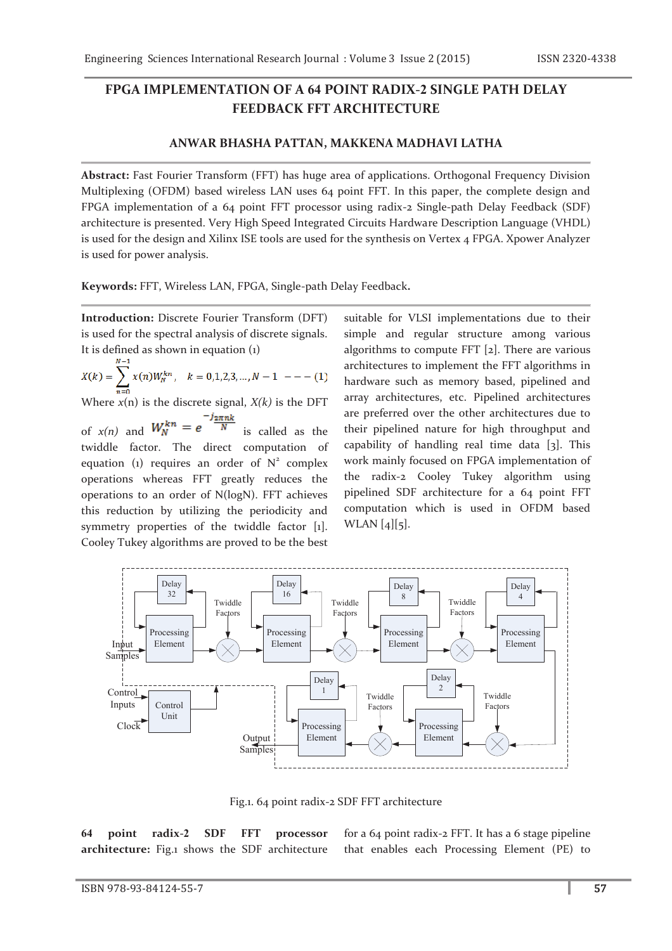## **FPGA IMPLEMENTATION OF A 64 POINT RADIX-2 SINGLE PATH DELAY FEEDBACK FFT ARCHITECTURE**

## **ANWAR BHASHA PATTAN, MAKKENA MADHAVI LATHA**

**Abstract:** Fast Fourier Transform (FFT) has huge area of applications. Orthogonal Frequency Division Multiplexing (OFDM) based wireless LAN uses 64 point FFT. In this paper, the complete design and FPGA implementation of a 64 point FFT processor using radix-2 Single-path Delay Feedback (SDF) architecture is presented. Very High Speed Integrated Circuits Hardware Description Language (VHDL) is used for the design and Xilinx ISE tools are used for the synthesis on Vertex 4 FPGA. Xpower Analyzer is used for power analysis.

**Keywords:** FFT, Wireless LAN, FPGA, Single-path Delay Feedback**.**

**Introduction:** Discrete Fourier Transform (DFT) is used for the spectral analysis of discrete signals. It is defined as shown in equation (1)

 $X(k) = \sum_{n=0}^{k} x(n)W_N^{kn}, \quad k = 0,1,2,3,...,N-1 \quad --- (1)$ 

Where  $x(n)$  is the discrete signal,  $X(k)$  is the DFT

of  $x(n)$  and  $W_N^{kn} = e^{-\frac{i2\pi nk}{N}}$  is called as the twiddle factor. The direct computation of equation (1) requires an order of  $N^2$  complex operations whereas FFT greatly reduces the operations to an order of N(logN). FFT achieves this reduction by utilizing the periodicity and symmetry properties of the twiddle factor [1]. Cooley Tukey algorithms are proved to be the best

suitable for VLSI implementations due to their simple and regular structure among various algorithms to compute FFT [2]. There are various architectures to implement the FFT algorithms in hardware such as memory based, pipelined and array architectures, etc. Pipelined architectures are preferred over the other architectures due to their pipelined nature for high throughput and capability of handling real time data [3]. This work mainly focused on FPGA implementation of the radix-2 Cooley Tukey algorithm using pipelined SDF architecture for a 64 point FFT computation which is used in OFDM based WLAN [4][5].



Fig.1. 64 point radix-2 SDF FFT architecture

**64 point radix-2 SDF FFT processor architecture:** Fig.1 shows the SDF architecture for a 64 point radix-2 FFT. It has a 6 stage pipeline that enables each Processing Element (PE) to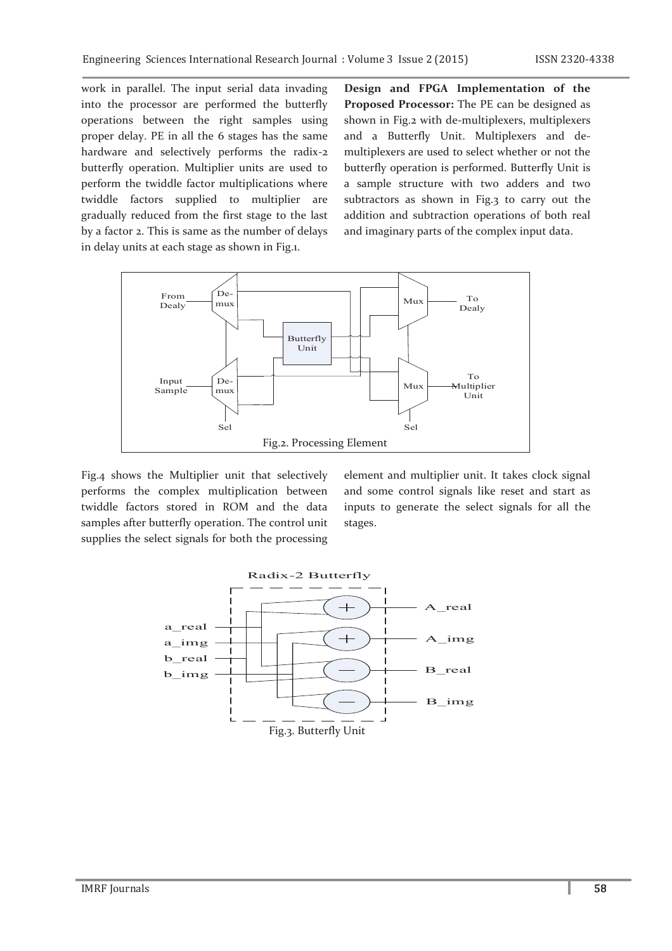work in parallel. The input serial data invading into the processor are performed the butterfly operations between the right samples using proper delay. PE in all the 6 stages has the same hardware and selectively performs the radix-2 butterfly operation. Multiplier units are used to perform the twiddle factor multiplications where twiddle factors supplied to multiplier are gradually reduced from the first stage to the last by a factor 2. This is same as the number of delays in delay units at each stage as shown in Fig.1.

**Design and FPGA Implementation of the Proposed Processor:** The PE can be designed as shown in Fig.2 with de-multiplexers, multiplexers and a Butterfly Unit. Multiplexers and demultiplexers are used to select whether or not the butterfly operation is performed. Butterfly Unit is a sample structure with two adders and two subtractors as shown in Fig.3 to carry out the addition and subtraction operations of both real and imaginary parts of the complex input data.



Fig.4 shows the Multiplier unit that selectively performs the complex multiplication between twiddle factors stored in ROM and the data samples after butterfly operation. The control unit supplies the select signals for both the processing

element and multiplier unit. It takes clock signal and some control signals like reset and start as inputs to generate the select signals for all the stages.

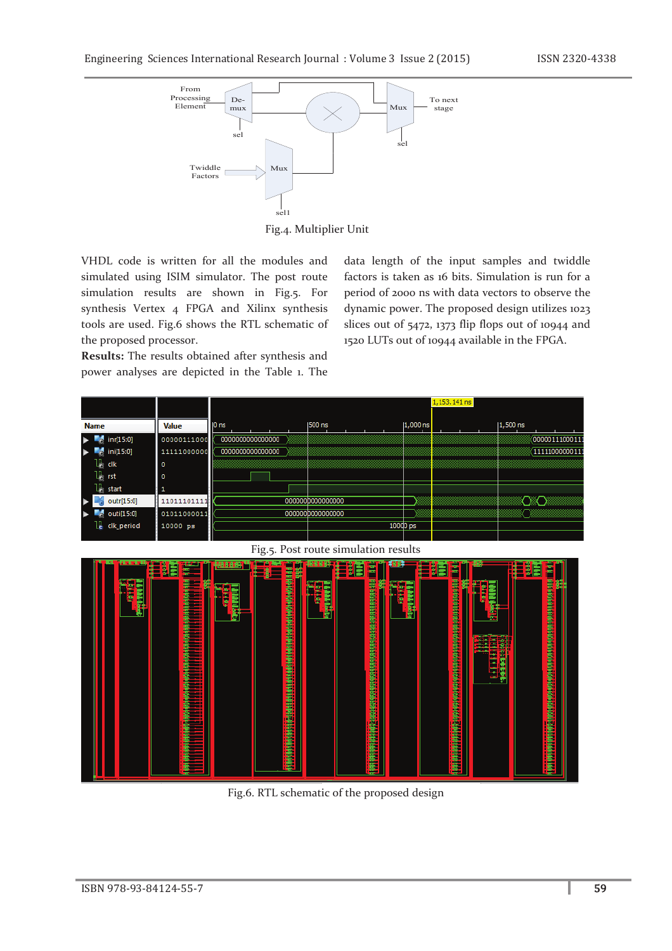

Fig.4. Multiplier Unit

VHDL code is written for all the modules and simulated using ISIM simulator. The post route simulation results are shown in Fig.5. For synthesis Vertex 4 FPGA and Xilinx synthesis tools are used. Fig.6 shows the RTL schematic of the proposed processor.

**Results:** The results obtained after synthesis and power analyses are depicted in the Table 1. The data length of the input samples and twiddle factors is taken as 16 bits. Simulation is run for a period of 2000 ns with data vectors to observe the dynamic power. The proposed design utilizes 1023 slices out of 5472, 1373 flip flops out of 10944 and 1520 LUTs out of 10944 available in the FPGA.



Fig.6. RTL schematic of the proposed design